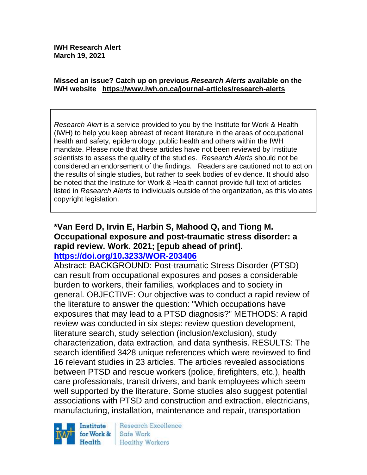#### **Missed an issue? Catch up on previous** *Research Alerts* **available on the [IWH website](http://www.iwh.on.ca/research-alerts) <https://www.iwh.on.ca/journal-articles/research-alerts>**

*Research Alert* is a service provided to you by the Institute for Work & Health (IWH) to help you keep abreast of recent literature in the areas of occupational health and safety, epidemiology, public health and others within the IWH mandate. Please note that these articles have not been reviewed by Institute scientists to assess the quality of the studies. *Research Alerts* should not be considered an endorsement of the findings. Readers are cautioned not to act on the results of single studies, but rather to seek bodies of evidence. It should also be noted that the Institute for Work & Health cannot provide full-text of articles listed in *Research Alerts* to individuals outside of the organization, as this violates copyright legislation.

#### **\*Van Eerd D, Irvin E, Harbin S, Mahood Q, and Tiong M. Occupational exposure and post-traumatic stress disorder: a rapid review. Work. 2021; [epub ahead of print]. <https://doi.org/10.3233/WOR-203406>**

Abstract: BACKGROUND: Post-traumatic Stress Disorder (PTSD) can result from occupational exposures and poses a considerable burden to workers, their families, workplaces and to society in general. OBJECTIVE: Our objective was to conduct a rapid review of the literature to answer the question: "Which occupations have exposures that may lead to a PTSD diagnosis?" METHODS: A rapid review was conducted in six steps: review question development, literature search, study selection (inclusion/exclusion), study characterization, data extraction, and data synthesis. RESULTS: The search identified 3428 unique references which were reviewed to find 16 relevant studies in 23 articles. The articles revealed associations between PTSD and rescue workers (police, firefighters, etc.), health care professionals, transit drivers, and bank employees which seem well supported by the literature. Some studies also suggest potential associations with PTSD and construction and extraction, electricians, manufacturing, installation, maintenance and repair, transportation



Research Excellence Safe Work Healthy Workers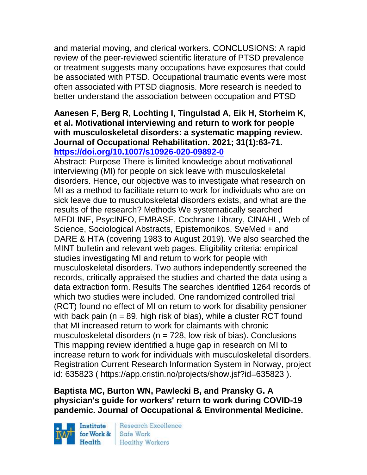and material moving, and clerical workers. CONCLUSIONS: A rapid review of the peer-reviewed scientific literature of PTSD prevalence or treatment suggests many occupations have exposures that could be associated with PTSD. Occupational traumatic events were most often associated with PTSD diagnosis. More research is needed to better understand the association between occupation and PTSD

### **Aanesen F, Berg R, Lochting I, Tingulstad A, Eik H, Storheim K, et al. Motivational interviewing and return to work for people with musculoskeletal disorders: a systematic mapping review. Journal of Occupational Rehabilitation. 2021; 31(1):63-71. <https://doi.org/10.1007/s10926-020-09892-0>**

Abstract: Purpose There is limited knowledge about motivational interviewing (MI) for people on sick leave with musculoskeletal disorders. Hence, our objective was to investigate what research on MI as a method to facilitate return to work for individuals who are on sick leave due to musculoskeletal disorders exists, and what are the results of the research? Methods We systematically searched MEDLINE, PsycINFO, EMBASE, Cochrane Library, CINAHL, Web of Science, Sociological Abstracts, Epistemonikos, SveMed + and DARE & HTA (covering 1983 to August 2019). We also searched the MINT bulletin and relevant web pages. Eligibility criteria: empirical studies investigating MI and return to work for people with musculoskeletal disorders. Two authors independently screened the records, critically appraised the studies and charted the data using a data extraction form. Results The searches identified 1264 records of which two studies were included. One randomized controlled trial (RCT) found no effect of MI on return to work for disability pensioner with back pain ( $n = 89$ , high risk of bias), while a cluster RCT found that MI increased return to work for claimants with chronic musculoskeletal disorders ( $n = 728$ , low risk of bias). Conclusions This mapping review identified a huge gap in research on MI to increase return to work for individuals with musculoskeletal disorders. Registration Current Research Information System in Norway, project id: 635823 ( https://app.cristin.no/projects/show.jsf?id=635823 ).

# **Baptista MC, Burton WN, Pawlecki B, and Pransky G. A physician's guide for workers' return to work during COVID-19 pandemic. Journal of Occupational & Environmental Medicine.**

Institute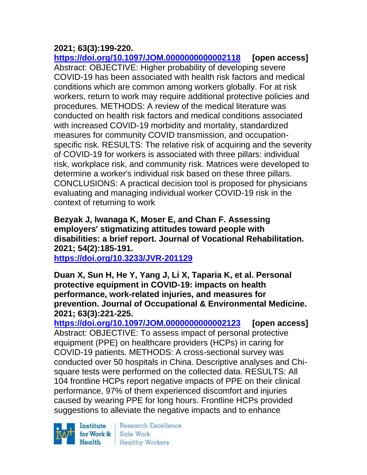# **2021; 63(3):199-220.**

**<https://doi.org/10.1097/JOM.0000000000002118> [open access]** Abstract: OBJECTIVE: Higher probability of developing severe COVID-19 has been associated with health risk factors and medical conditions which are common among workers globally. For at risk workers, return to work may require additional protective policies and procedures. METHODS: A review of the medical literature was conducted on health risk factors and medical conditions associated with increased COVID-19 morbidity and mortality, standardized measures for community COVID transmission, and occupationspecific risk. RESULTS: The relative risk of acquiring and the severity of COVID-19 for workers is associated with three pillars: individual risk, workplace risk, and community risk. Matrices were developed to determine a worker's individual risk based on these three pillars. CONCLUSIONS: A practical decision tool is proposed for physicians evaluating and managing individual worker COVID-19 risk in the context of returning to work

**Bezyak J, Iwanaga K, Moser E, and Chan F. Assessing employers' stigmatizing attitudes toward people with disabilities: a brief report. Journal of Vocational Rehabilitation. 2021; 54(2):185-191.** 

**<https://doi.org/10.3233/JVR-201129>** 

**Duan X, Sun H, He Y, Yang J, Li X, Taparia K, et al. Personal protective equipment in COVID-19: impacts on health performance, work-related injuries, and measures for prevention. Journal of Occupational & Environmental Medicine. 2021; 63(3):221-225.** 

**<https://doi.org/10.1097/JOM.0000000000002123> [open access]** Abstract: OBJECTIVE: To assess impact of personal protective equipment (PPE) on healthcare providers (HCPs) in caring for COVID-19 patients. METHODS: A cross-sectional survey was conducted over 50 hospitals in China. Descriptive analyses and Chisquare tests were performed on the collected data. RESULTS: All 104 frontline HCPs report negative impacts of PPE on their clinical performance, 97% of them experienced discomfort and injuries caused by wearing PPE for long hours. Frontline HCPs provided suggestions to alleviate the negative impacts and to enhance

Institute  $Heath$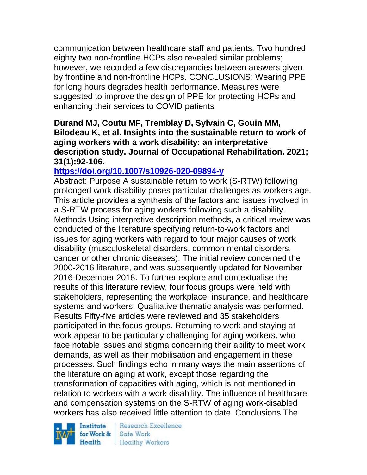communication between healthcare staff and patients. Two hundred eighty two non-frontline HCPs also revealed similar problems; however, we recorded a few discrepancies between answers given by frontline and non-frontline HCPs. CONCLUSIONS: Wearing PPE for long hours degrades health performance. Measures were suggested to improve the design of PPE for protecting HCPs and enhancing their services to COVID patients

### **Durand MJ, Coutu MF, Tremblay D, Sylvain C, Gouin MM, Bilodeau K, et al. Insights into the sustainable return to work of aging workers with a work disability: an interpretative description study. Journal of Occupational Rehabilitation. 2021; 31(1):92-106.**

# **<https://doi.org/10.1007/s10926-020-09894-y>**

Abstract: Purpose A sustainable return to work (S-RTW) following prolonged work disability poses particular challenges as workers age. This article provides a synthesis of the factors and issues involved in a S-RTW process for aging workers following such a disability. Methods Using interpretive description methods, a critical review was conducted of the literature specifying return-to-work factors and issues for aging workers with regard to four major causes of work disability (musculoskeletal disorders, common mental disorders, cancer or other chronic diseases). The initial review concerned the 2000-2016 literature, and was subsequently updated for November 2016-December 2018. To further explore and contextualise the results of this literature review, four focus groups were held with stakeholders, representing the workplace, insurance, and healthcare systems and workers. Qualitative thematic analysis was performed. Results Fifty-five articles were reviewed and 35 stakeholders participated in the focus groups. Returning to work and staying at work appear to be particularly challenging for aging workers, who face notable issues and stigma concerning their ability to meet work demands, as well as their mobilisation and engagement in these processes. Such findings echo in many ways the main assertions of the literature on aging at work, except those regarding the transformation of capacities with aging, which is not mentioned in relation to workers with a work disability. The influence of healthcare and compensation systems on the S-RTW of aging work-disabled workers has also received little attention to date. Conclusions The

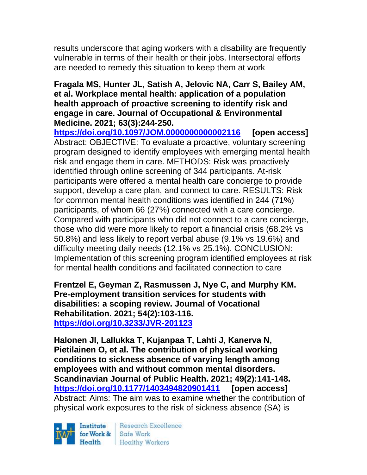results underscore that aging workers with a disability are frequently vulnerable in terms of their health or their jobs. Intersectoral efforts are needed to remedy this situation to keep them at work

#### **Fragala MS, Hunter JL, Satish A, Jelovic NA, Carr S, Bailey AM, et al. Workplace mental health: application of a population health approach of proactive screening to identify risk and engage in care. Journal of Occupational & Environmental Medicine. 2021; 63(3):244-250.**

**<https://doi.org/10.1097/JOM.0000000000002116> [open access]** Abstract: OBJECTIVE: To evaluate a proactive, voluntary screening program designed to identify employees with emerging mental health risk and engage them in care. METHODS: Risk was proactively identified through online screening of 344 participants. At-risk participants were offered a mental health care concierge to provide support, develop a care plan, and connect to care. RESULTS: Risk for common mental health conditions was identified in 244 (71%) participants, of whom 66 (27%) connected with a care concierge. Compared with participants who did not connect to a care concierge, those who did were more likely to report a financial crisis (68.2% vs 50.8%) and less likely to report verbal abuse (9.1% vs 19.6%) and difficulty meeting daily needs (12.1% vs 25.1%). CONCLUSION: Implementation of this screening program identified employees at risk for mental health conditions and facilitated connection to care

**Frentzel E, Geyman Z, Rasmussen J, Nye C, and Murphy KM. Pre-employment transition services for students with disabilities: a scoping review. Journal of Vocational Rehabilitation. 2021; 54(2):103-116. <https://doi.org/10.3233/JVR-201123>** 

**Halonen JI, Lallukka T, Kujanpaa T, Lahti J, Kanerva N, Pietilainen O, et al. The contribution of physical working conditions to sickness absence of varying length among employees with and without common mental disorders. Scandinavian Journal of Public Health. 2021; 49(2):141-148. <https://doi.org/10.1177/1403494820901411> [open access]** Abstract: Aims: The aim was to examine whether the contribution of physical work exposures to the risk of sickness absence (SA) is

Institute Health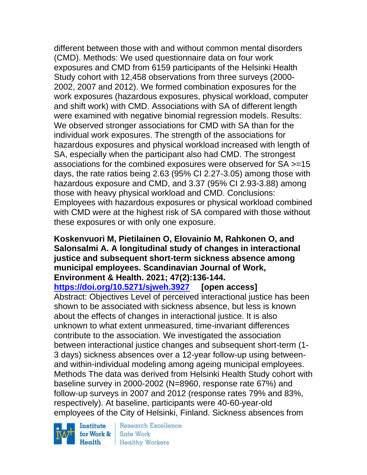different between those with and without common mental disorders (CMD). Methods: We used questionnaire data on four work exposures and CMD from 6159 participants of the Helsinki Health Study cohort with 12,458 observations from three surveys (2000- 2002, 2007 and 2012). We formed combination exposures for the work exposures (hazardous exposures, physical workload, computer and shift work) with CMD. Associations with SA of different length were examined with negative binomial regression models. Results: We observed stronger associations for CMD with SA than for the individual work exposures. The strength of the associations for hazardous exposures and physical workload increased with length of SA, especially when the participant also had CMD. The strongest associations for the combined exposures were observed for SA >=15 days, the rate ratios being 2.63 (95% CI 2.27-3.05) among those with hazardous exposure and CMD, and 3.37 (95% CI 2.93-3.88) among those with heavy physical workload and CMD. Conclusions: Employees with hazardous exposures or physical workload combined with CMD were at the highest risk of SA compared with those without these exposures or with only one exposure.

#### **Koskenvuori M, Pietilainen O, Elovainio M, Rahkonen O, and Salonsalmi A. A longitudinal study of changes in interactional justice and subsequent short-term sickness absence among municipal employees. Scandinavian Journal of Work, Environment & Health. 2021; 47(2):136-144.**

**<https://doi.org/10.5271/sjweh.3927> [open access]**

Abstract: Objectives Level of perceived interactional justice has been shown to be associated with sickness absence, but less is known about the effects of changes in interactional justice. It is also unknown to what extent unmeasured, time-invariant differences contribute to the association. We investigated the association between interactional justice changes and subsequent short-term (1- 3 days) sickness absences over a 12-year follow-up using betweenand within-individual modeling among ageing municipal employees. Methods The data was derived from Helsinki Health Study cohort with baseline survey in 2000-2002 (N=8960, response rate 67%) and follow-up surveys in 2007 and 2012 (response rates 79% and 83%, respectively). At baseline, participants were 40-60-year-old employees of the City of Helsinki, Finland. Sickness absences from

Institute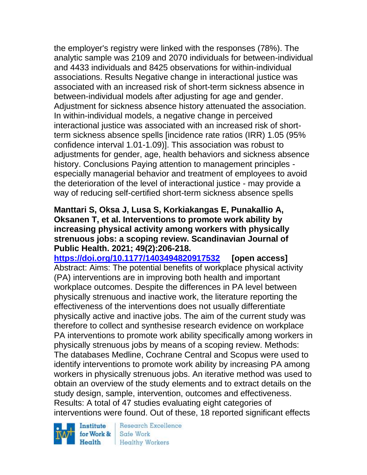the employer's registry were linked with the responses (78%). The analytic sample was 2109 and 2070 individuals for between-individual and 4433 individuals and 8425 observations for within-individual associations. Results Negative change in interactional justice was associated with an increased risk of short-term sickness absence in between-individual models after adjusting for age and gender. Adjustment for sickness absence history attenuated the association. In within-individual models, a negative change in perceived interactional justice was associated with an increased risk of shortterm sickness absence spells [incidence rate ratios (IRR) 1.05 (95% confidence interval 1.01-1.09)]. This association was robust to adjustments for gender, age, health behaviors and sickness absence history. Conclusions Paying attention to management principles especially managerial behavior and treatment of employees to avoid the deterioration of the level of interactional justice - may provide a way of reducing self-certified short-term sickness absence spells

#### **Manttari S, Oksa J, Lusa S, Korkiakangas E, Punakallio A, Oksanen T, et al. Interventions to promote work ability by increasing physical activity among workers with physically strenuous jobs: a scoping review. Scandinavian Journal of Public Health. 2021; 49(2):206-218.**

**<https://doi.org/10.1177/1403494820917532> [open access]** Abstract: Aims: The potential benefits of workplace physical activity (PA) interventions are in improving both health and important workplace outcomes. Despite the differences in PA level between physically strenuous and inactive work, the literature reporting the effectiveness of the interventions does not usually differentiate physically active and inactive jobs. The aim of the current study was therefore to collect and synthesise research evidence on workplace PA interventions to promote work ability specifically among workers in physically strenuous jobs by means of a scoping review. Methods: The databases Medline, Cochrane Central and Scopus were used to identify interventions to promote work ability by increasing PA among workers in physically strenuous jobs. An iterative method was used to obtain an overview of the study elements and to extract details on the study design, sample, intervention, outcomes and effectiveness. Results: A total of 47 studies evaluating eight categories of interventions were found. Out of these, 18 reported significant effects

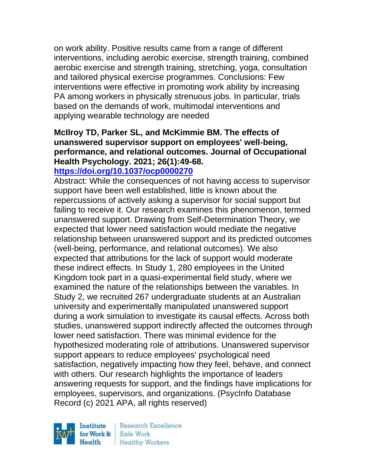on work ability. Positive results came from a range of different interventions, including aerobic exercise, strength training, combined aerobic exercise and strength training, stretching, yoga, consultation and tailored physical exercise programmes. Conclusions: Few interventions were effective in promoting work ability by increasing PA among workers in physically strenuous jobs. In particular, trials based on the demands of work, multimodal interventions and applying wearable technology are needed

# **McIlroy TD, Parker SL, and McKimmie BM. The effects of unanswered supervisor support on employees' well-being, performance, and relational outcomes. Journal of Occupational Health Psychology. 2021; 26(1):49-68.**

# **<https://doi.org/10.1037/ocp0000270>**

Abstract: While the consequences of not having access to supervisor support have been well established, little is known about the repercussions of actively asking a supervisor for social support but failing to receive it. Our research examines this phenomenon, termed unanswered support. Drawing from Self-Determination Theory, we expected that lower need satisfaction would mediate the negative relationship between unanswered support and its predicted outcomes (well-being, performance, and relational outcomes). We also expected that attributions for the lack of support would moderate these indirect effects. In Study 1, 280 employees in the United Kingdom took part in a quasi-experimental field study, where we examined the nature of the relationships between the variables. In Study 2, we recruited 267 undergraduate students at an Australian university and experimentally manipulated unanswered support during a work simulation to investigate its causal effects. Across both studies, unanswered support indirectly affected the outcomes through lower need satisfaction. There was minimal evidence for the hypothesized moderating role of attributions. Unanswered supervisor support appears to reduce employees' psychological need satisfaction, negatively impacting how they feel, behave, and connect with others. Our research highlights the importance of leaders answering requests for support, and the findings have implications for employees, supervisors, and organizations. (PsycInfo Database Record (c) 2021 APA, all rights reserved)

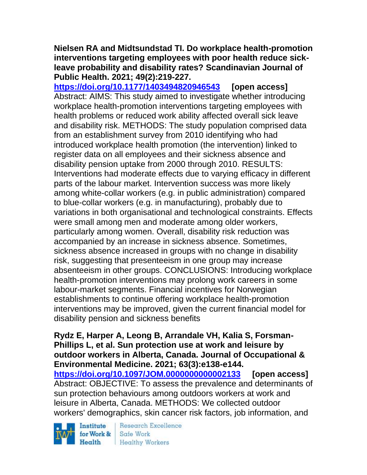#### **Nielsen RA and Midtsundstad TI. Do workplace health-promotion interventions targeting employees with poor health reduce sickleave probability and disability rates? Scandinavian Journal of Public Health. 2021; 49(2):219-227.**

**<https://doi.org/10.1177/1403494820946543> [open access]** Abstract: AIMS: This study aimed to investigate whether introducing workplace health-promotion interventions targeting employees with health problems or reduced work ability affected overall sick leave and disability risk. METHODS: The study population comprised data from an establishment survey from 2010 identifying who had introduced workplace health promotion (the intervention) linked to register data on all employees and their sickness absence and disability pension uptake from 2000 through 2010. RESULTS: Interventions had moderate effects due to varying efficacy in different parts of the labour market. Intervention success was more likely among white-collar workers (e.g. in public administration) compared to blue-collar workers (e.g. in manufacturing), probably due to variations in both organisational and technological constraints. Effects were small among men and moderate among older workers, particularly among women. Overall, disability risk reduction was accompanied by an increase in sickness absence. Sometimes, sickness absence increased in groups with no change in disability risk, suggesting that presenteeism in one group may increase absenteeism in other groups. CONCLUSIONS: Introducing workplace health-promotion interventions may prolong work careers in some labour-market segments. Financial incentives for Norwegian establishments to continue offering workplace health-promotion interventions may be improved, given the current financial model for disability pension and sickness benefits

**Rydz E, Harper A, Leong B, Arrandale VH, Kalia S, Forsman-Phillips L, et al. Sun protection use at work and leisure by outdoor workers in Alberta, Canada. Journal of Occupational & Environmental Medicine. 2021; 63(3):e138-e144. <https://doi.org/10.1097/JOM.0000000000002133> [open access]** Abstract: OBJECTIVE: To assess the prevalence and determinants of sun protection behaviours among outdoors workers at work and leisure in Alberta, Canada. METHODS: We collected outdoor workers' demographics, skin cancer risk factors, job information, and

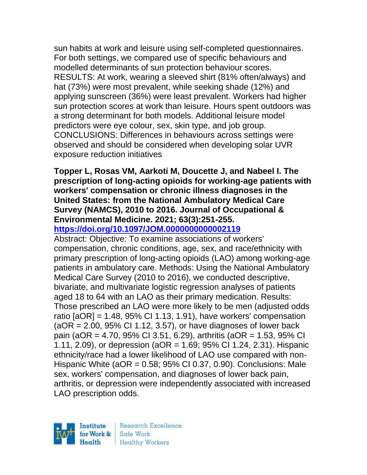sun habits at work and leisure using self-completed questionnaires. For both settings, we compared use of specific behaviours and modelled determinants of sun protection behaviour scores. RESULTS: At work, wearing a sleeved shirt (81% often/always) and hat (73%) were most prevalent, while seeking shade (12%) and applying sunscreen (36%) were least prevalent. Workers had higher sun protection scores at work than leisure. Hours spent outdoors was a strong determinant for both models. Additional leisure model predictors were eye colour, sex, skin type, and job group. CONCLUSIONS: Differences in behaviours across settings were observed and should be considered when developing solar UVR exposure reduction initiatives

### **Topper L, Rosas VM, Aarkoti M, Doucette J, and Nabeel I. The prescription of long-acting opioids for working-age patients with workers' compensation or chronic illness diagnoses in the United States: from the National Ambulatory Medical Care Survey (NAMCS), 2010 to 2016. Journal of Occupational & Environmental Medicine. 2021; 63(3):251-255.**

### **<https://doi.org/10.1097/JOM.0000000000002119>**

Abstract: Objective: To examine associations of workers' compensation, chronic conditions, age, sex, and race/ethnicity with primary prescription of long-acting opioids (LAO) among working-age patients in ambulatory care. Methods: Using the National Ambulatory Medical Care Survey (2010 to 2016), we conducted descriptive, bivariate, and multivariate logistic regression analyses of patients aged 18 to 64 with an LAO as their primary medication. Results: Those prescribed an LAO were more likely to be men (adjusted odds ratio  $[aOR] = 1.48$ , 95% CI 1.13, 1.91), have workers' compensation  $(aOR = 2.00, 95\% \text{ CI } 1.12, 3.57)$ , or have diagnoses of lower back pain (aOR = 4.70, 95% CI 3.51, 6.29), arthritis (aOR = 1.53, 95% CI 1.11, 2.09), or depression (aOR = 1.69; 95% CI 1.24, 2.31). Hispanic ethnicity/race had a lower likelihood of LAO use compared with non-Hispanic White (aOR = 0.58; 95% CI 0.37, 0.90). Conclusions: Male sex, workers' compensation, and diagnoses of lower back pain, arthritis, or depression were independently associated with increased LAO prescription odds.



Research Excellence **Healthy Workers**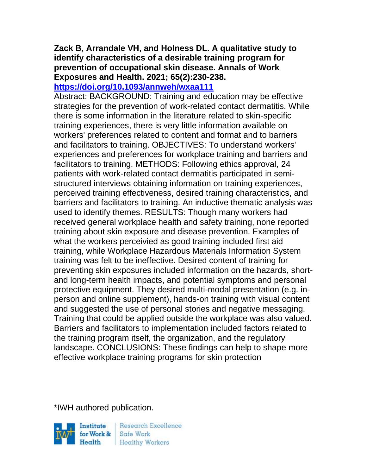#### **Zack B, Arrandale VH, and Holness DL. A qualitative study to identify characteristics of a desirable training program for prevention of occupational skin disease. Annals of Work Exposures and Health. 2021; 65(2):230-238. <https://doi.org/10.1093/annweh/wxaa111>**

Abstract: BACKGROUND: Training and education may be effective strategies for the prevention of work-related contact dermatitis. While there is some information in the literature related to skin-specific training experiences, there is very little information available on workers' preferences related to content and format and to barriers and facilitators to training. OBJECTIVES: To understand workers' experiences and preferences for workplace training and barriers and facilitators to training. METHODS: Following ethics approval, 24 patients with work-related contact dermatitis participated in semistructured interviews obtaining information on training experiences, perceived training effectiveness, desired training characteristics, and barriers and facilitators to training. An inductive thematic analysis was used to identify themes. RESULTS: Though many workers had received general workplace health and safety training, none reported training about skin exposure and disease prevention. Examples of what the workers perceivied as good training included first aid training, while Workplace Hazardous Materials Information System training was felt to be ineffective. Desired content of training for preventing skin exposures included information on the hazards, shortand long-term health impacts, and potential symptoms and personal protective equipment. They desired multi-modal presentation (e.g. inperson and online supplement), hands-on training with visual content and suggested the use of personal stories and negative messaging. Training that could be applied outside the workplace was also valued. Barriers and facilitators to implementation included factors related to the training program itself, the organization, and the regulatory landscape. CONCLUSIONS: These findings can help to shape more effective workplace training programs for skin protection

\*IWH authored publication.